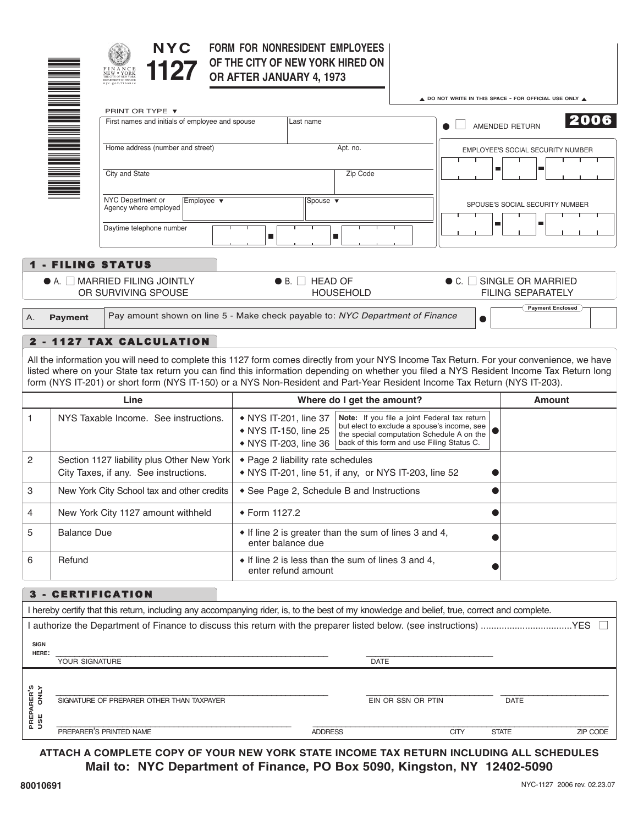

1\*

### **FORM FOR NONRESIDENT EMPLOYEES OF THE CITY OF NEW YORK HIRED ON OR AFTER JANUARY 4, 1973**

|                                                                         |                    |                                                                                     |                                                                                                                                                                                                                                                                                                                                                                                                                     | A DO NOT WRITE IN THIS SPACE - FOR OFFICIAL USE ONLY A |                                                                   |
|-------------------------------------------------------------------------|--------------------|-------------------------------------------------------------------------------------|---------------------------------------------------------------------------------------------------------------------------------------------------------------------------------------------------------------------------------------------------------------------------------------------------------------------------------------------------------------------------------------------------------------------|--------------------------------------------------------|-------------------------------------------------------------------|
|                                                                         |                    | PRINT OR TYPE ▼<br>First names and initials of employee and spouse                  | Last name                                                                                                                                                                                                                                                                                                                                                                                                           |                                                        | 2006                                                              |
|                                                                         |                    |                                                                                     |                                                                                                                                                                                                                                                                                                                                                                                                                     | AMENDED RETURN                                         |                                                                   |
|                                                                         |                    | Home address (number and street)                                                    | Apt. no.                                                                                                                                                                                                                                                                                                                                                                                                            |                                                        | <b>EMPLOYEE'S SOCIAL SECURITY NUMBER</b>                          |
|                                                                         |                    | City and State                                                                      | Zip Code                                                                                                                                                                                                                                                                                                                                                                                                            | m.                                                     |                                                                   |
|                                                                         |                    | NYC Department or<br>Employee v<br>Agency where employed                            | Spouse $\blacktriangledown$                                                                                                                                                                                                                                                                                                                                                                                         |                                                        | SPOUSE'S SOCIAL SECURITY NUMBER                                   |
|                                                                         |                    | Daytime telephone number                                                            | П<br>П                                                                                                                                                                                                                                                                                                                                                                                                              |                                                        |                                                                   |
|                                                                         |                    | <b>1 - FILING STATUS</b>                                                            |                                                                                                                                                                                                                                                                                                                                                                                                                     |                                                        |                                                                   |
|                                                                         |                    | $\bullet$ A. $\Box$ MARRIED FILING JOINTLY<br>OR SURVIVING SPOUSE                   | $\bullet$ B. $\Box$ HEAD OF<br><b>HOUSEHOLD</b>                                                                                                                                                                                                                                                                                                                                                                     |                                                        | $\bullet$ C. $\Box$ SINGLE OR MARRIED<br><b>FILING SEPARATELY</b> |
| А.                                                                      | <b>Payment</b>     |                                                                                     | Pay amount shown on line 5 - Make check payable to: NYC Department of Finance                                                                                                                                                                                                                                                                                                                                       | $\bullet$                                              | <b>Payment Enclosed</b>                                           |
|                                                                         |                    | 2 - 1127 TAX CALCULATION                                                            |                                                                                                                                                                                                                                                                                                                                                                                                                     |                                                        |                                                                   |
|                                                                         |                    |                                                                                     | All the information you will need to complete this 1127 form comes directly from your NYS Income Tax Return. For your convenience, we have<br>listed where on your State tax return you can find this information depending on whether you filed a NYS Resident Income Tax Return long<br>form (NYS IT-201) or short form (NYS IT-150) or a NYS Non-Resident and Part-Year Resident Income Tax Return (NYS IT-203). |                                                        |                                                                   |
|                                                                         |                    | Line                                                                                | Where do I get the amount?                                                                                                                                                                                                                                                                                                                                                                                          |                                                        | <b>Amount</b>                                                     |
|                                                                         |                    | NYS Taxable Income. See instructions.                                               | Note: If you file a joint Federal tax return<br>• NYS IT-201, line 37<br>but elect to exclude a spouse's income, see<br>• NYS IT-150, line 25<br>the special computation Schedule A on the                                                                                                                                                                                                                          |                                                        |                                                                   |
|                                                                         |                    |                                                                                     | • NYS IT-203, line 36                                                                                                                                                                                                                                                                                                                                                                                               | back of this form and use Filing Status C.             |                                                                   |
|                                                                         |                    | Section 1127 liability plus Other New York<br>City Taxes, if any. See instructions. | • Page 2 liability rate schedules<br>• NYS IT-201, line 51, if any, or NYS IT-203, line 52                                                                                                                                                                                                                                                                                                                          |                                                        |                                                                   |
|                                                                         |                    | New York City School tax and other credits                                          | • See Page 2, Schedule B and Instructions                                                                                                                                                                                                                                                                                                                                                                           |                                                        |                                                                   |
|                                                                         |                    | New York City 1127 amount withheld                                                  | ◆ Form 1127.2                                                                                                                                                                                                                                                                                                                                                                                                       |                                                        |                                                                   |
|                                                                         | <b>Balance Due</b> |                                                                                     | • If line 2 is greater than the sum of lines 3 and 4,<br>enter balance due                                                                                                                                                                                                                                                                                                                                          |                                                        |                                                                   |
|                                                                         | Refund             |                                                                                     | • If line 2 is less than the sum of lines 3 and 4,<br>enter refund amount                                                                                                                                                                                                                                                                                                                                           |                                                        |                                                                   |
|                                                                         |                    |                                                                                     |                                                                                                                                                                                                                                                                                                                                                                                                                     |                                                        |                                                                   |
|                                                                         |                    | 3 - CERTIFICATION                                                                   |                                                                                                                                                                                                                                                                                                                                                                                                                     |                                                        |                                                                   |
|                                                                         |                    |                                                                                     | I hereby certify that this return, including any accompanying rider, is, to the best of my knowledge and belief, true, correct and complete.                                                                                                                                                                                                                                                                        |                                                        |                                                                   |
|                                                                         |                    |                                                                                     |                                                                                                                                                                                                                                                                                                                                                                                                                     |                                                        |                                                                   |
|                                                                         | YOUR SIGNATURE     |                                                                                     | <b>DATE</b>                                                                                                                                                                                                                                                                                                                                                                                                         |                                                        |                                                                   |
|                                                                         |                    |                                                                                     |                                                                                                                                                                                                                                                                                                                                                                                                                     |                                                        |                                                                   |
| 2<br>3<br>4<br>5<br>6<br><b>SIGN</b><br>HERE:<br>PREPARER'S<br>USE ONLY |                    | SIGNATURE OF PREPARER OTHER THAN TAXPAYER                                           |                                                                                                                                                                                                                                                                                                                                                                                                                     | EIN OR SSN OR PTIN                                     | <b>DATE</b>                                                       |

**ATTACH A COMPLETE COPY OF YOUR NEW YORK STATE INCOME TAX RETURN INCLUDING ALL SCHEDULES Mail to: NYC Department of Finance, PO Box 5090, Kingston, NY 12402-5090**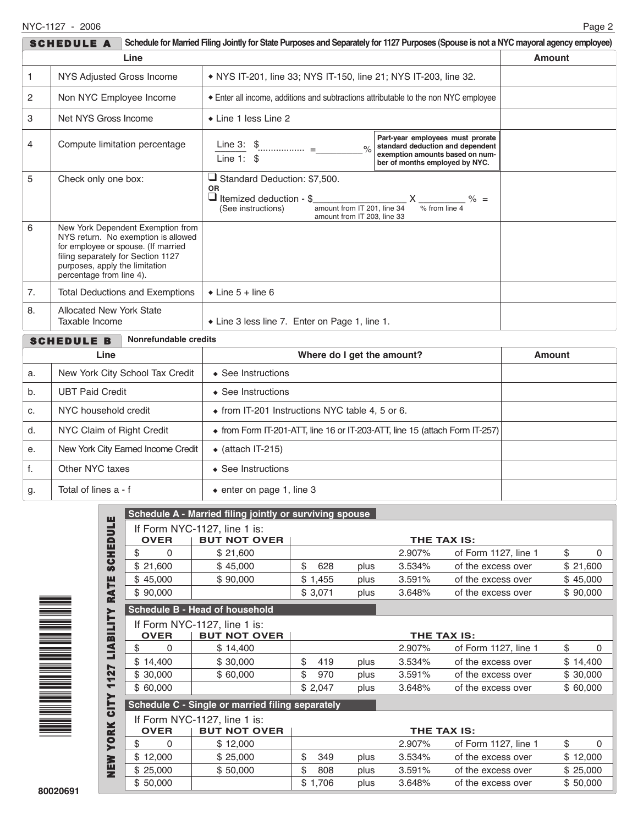|      | <b>SCHEDULE A</b>                                                                                |                                                                                                                 | Schedule for Married Filing Jointly for State Purposes and Separately for 1127 Purposes (Spouse is not a NYC mayoral agency employee)                                                                               |  |               |
|------|--------------------------------------------------------------------------------------------------|-----------------------------------------------------------------------------------------------------------------|---------------------------------------------------------------------------------------------------------------------------------------------------------------------------------------------------------------------|--|---------------|
|      |                                                                                                  | Line                                                                                                            |                                                                                                                                                                                                                     |  | <b>Amount</b> |
| 1    | NYS Adjusted Gross Income                                                                        |                                                                                                                 | • NYS IT-201, line 33; NYS IT-150, line 21; NYS IT-203, line 32.                                                                                                                                                    |  |               |
| 2    | Non NYC Employee Income                                                                          |                                                                                                                 | Enter all income, additions and subtractions attributable to the non NYC employee                                                                                                                                   |  |               |
| 3    | Net NYS Gross Income                                                                             |                                                                                                                 | • Line 1 less Line 2                                                                                                                                                                                                |  |               |
| 4    |                                                                                                  | Compute limitation percentage                                                                                   | Part-year employees must prorate<br>Line 3: $\frac{1}{2}$<br>standard deduction and dependent<br>$\frac{1}{2}$<br>exemption amounts based on num-<br>Line 1: $$$<br>ber of months employed by NYC.                  |  |               |
| 5    | Check only one box:                                                                              |                                                                                                                 | $\Box$ Standard Deduction: \$7,500.<br><b>OR</b><br>$\Box$ Itemized deduction - \$<br>$-X \frac{8}{\% \text{ from line 4}}$ % =<br>amount from IT 201, line 34<br>(See instructions)<br>amount from IT 203, line 33 |  |               |
| 6    | filing separately for Section 1127<br>purposes, apply the limitation<br>percentage from line 4). | New York Dependent Exemption from<br>NYS return. No exemption is allowed<br>for employee or spouse. (If married |                                                                                                                                                                                                                     |  |               |
| 7.   | <b>Total Deductions and Exemptions</b>                                                           |                                                                                                                 | $\bullet$ Line 5 + line 6                                                                                                                                                                                           |  |               |
| 8.   | <b>Allocated New York State</b><br>Taxable Income                                                |                                                                                                                 | • Line 3 less line 7. Enter on Page 1, line 1.                                                                                                                                                                      |  |               |
|      | <b>SCHEDULE B</b>                                                                                | Nonrefundable credits                                                                                           |                                                                                                                                                                                                                     |  |               |
| Line |                                                                                                  |                                                                                                                 | Where do I get the amount?                                                                                                                                                                                          |  | <b>Amount</b> |
| a.   | New York City School Tax Credit                                                                  |                                                                                                                 | ◆ See Instructions                                                                                                                                                                                                  |  |               |
| b.   | <b>UBT Paid Credit</b>                                                                           |                                                                                                                 | $\triangle$ See Instructions                                                                                                                                                                                        |  |               |
| c.   | NYC household credit                                                                             |                                                                                                                 | • from IT-201 Instructions NYC table 4, 5 or 6.                                                                                                                                                                     |  |               |

d. NYC Claim of Right Credit • from Form IT-201-ATT, line 16 or IT-203-ATT, line 15 (attach Form IT-257)

e. | New York City Earned Income Credit |  $\bullet$  (attach IT-215) f. | Other NYC taxes |  $\bullet$  See Instructions

g.  $\begin{array}{|c|c|c|c|c|}\n\hline\n\text{Total of lines a - f} & \text{enter on page 1, line 3}\n\end{array}$ 

| ▅▅▅▅▅▅▅▅▅▅▅▅▅▅     |  |  |
|--------------------|--|--|
|                    |  |  |
|                    |  |  |
|                    |  |  |
|                    |  |  |
| ma manana ang pag- |  |  |
|                    |  |  |
|                    |  |  |
|                    |  |  |

|                       | Schedule A - Married filing jointly or surviving spouse |                                |                    |      |             |                      |                |
|-----------------------|---------------------------------------------------------|--------------------------------|--------------------|------|-------------|----------------------|----------------|
|                       |                                                         | If Form NYC-1127, line 1 is:   |                    |      |             |                      |                |
|                       | <b>OVER</b>                                             | <b>BUT NOT OVER</b>            | <b>THE TAX IS:</b> |      |             |                      |                |
| <b>SCHEDULE</b>       | \$<br>0                                                 | \$21,600                       |                    |      | 2.907%      | of Form 1127, line 1 | \$<br>$\Omega$ |
|                       | \$21,600                                                | \$45,000                       | \$<br>628          | plus | 3.534%      | of the excess over   | \$21,600       |
|                       | \$45,000                                                | \$90,000                       | \$1,455            | plus | 3.591%      | of the excess over   | \$45,000       |
| RATE                  | \$90,000                                                |                                | \$3,071            | plus | 3.648%      | of the excess over   | \$90,000       |
| ➤                     |                                                         | Schedule B - Head of household |                    |      |             |                      |                |
|                       |                                                         | If Form NYC-1127, line 1 is:   |                    |      |             |                      |                |
|                       | <b>OVER</b>                                             | <b>BUT NOT OVER</b>            |                    |      | THE TAX IS: |                      |                |
| $\blacksquare$ ABILIT | \$<br>0                                                 | \$14,400                       |                    |      | 2.907%      | of Form 1127, line 1 | \$<br>$\Omega$ |
|                       | \$14,400                                                | \$30,000                       | \$<br>419          | plus | 3.534%      | of the excess over   | \$14,400       |
| 127                   | \$30,000                                                | \$60,000                       | \$<br>970          | plus | 3.591%      | of the excess over   | \$30,000       |
| ┯                     | \$60,000                                                |                                | \$2,047            | plus | 3.648%      | of the excess over   | \$60,000       |
| <u>는</u>              | Schedule C - Single or married filing separately        |                                |                    |      |             |                      |                |
|                       | If Form NYC-1127, line 1 is:                            |                                |                    |      |             |                      |                |
|                       | <b>OVER</b>                                             | <b>BUT NOT OVER</b>            | <b>THE TAX IS:</b> |      |             |                      |                |
| <b>YBRV</b>           | \$<br>$\Omega$                                          | \$12,000                       |                    |      | 2.907%      | of Form 1127, line 1 | \$<br>$\Omega$ |
|                       | \$12,000                                                | \$25,000                       | \$<br>349          | plus | 3.534%      | of the excess over   | \$12,000       |
| NEW<br>Z              | \$25,000                                                | \$50,000                       | \$<br>808          | plus | 3.591%      | of the excess over   | \$25,000       |
|                       | \$50,000                                                |                                | \$1,706            | plus | 3.648%      | of the excess over   | \$50,000       |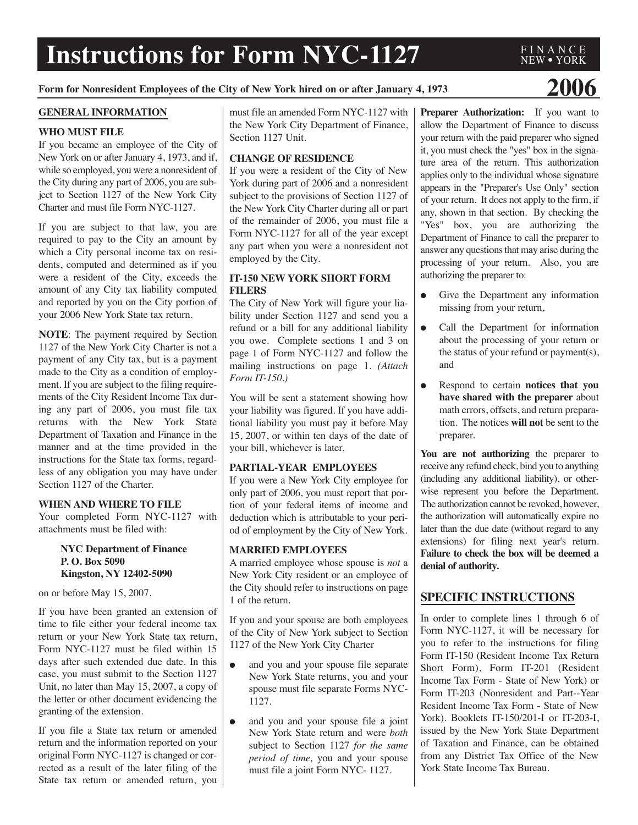# **Instructions for Form NYC-1127**

## **Form for Nonresident Employees of the City of New York hired on or after January 4, <sup>1973</sup> 2006**

F I N A N C E NEW ● YORK

#### **GENERAL INFORMATION**

#### **WHO MUST FILE**

If you became an employee of the City of New York on or after January 4, 1973, and if, while so employed, you were a nonresident of the City during any part of 2006, you are subject to Section 1127 of the New York City Charter and must file Form NYC-1127.

If you are subject to that law, you are required to pay to the City an amount by which a City personal income tax on residents, computed and determined as if you were a resident of the City, exceeds the amount of any City tax liability computed and reported by you on the City portion of your 2006 New York State tax return.

**NOTE**: The payment required by Section 1127 of the New York City Charter is not a payment of any City tax, but is a payment made to the City as a condition of employment. If you are subject to the filing requirements of the City Resident Income Tax during any part of 2006, you must file tax returns with the New York State Department of Taxation and Finance in the manner and at the time provided in the instructions for the State tax forms, regardless of any obligation you may have under Section 1127 of the Charter.

#### **WHEN AND WHERE TO FILE**

Your completed Form NYC-1127 with attachments must be filed with:

#### **NYC Department of Finance P. O. Box 5090 Kingston, NY 12402-5090**

on or before May 15, 2007.

If you have been granted an extension of time to file either your federal income tax return or your New York State tax return, Form NYC-1127 must be filed within 15 days after such extended due date. In this case, you must submit to the Section 1127 Unit, no later than May 15, 2007, a copy of the letter or other document evidencing the granting of the extension.

If you file a State tax return or amended return and the information reported on your original Form NYC-1127 is changed or corrected as a result of the later filing of the State tax return or amended return, you must file an amended Form NYC-1127 with the New York City Department of Finance, Section 1127 Unit.

#### **CHANGE OF RESIDENCE**

If you were a resident of the City of New York during part of 2006 and a nonresident subject to the provisions of Section 1127 of the New York City Charter during all or part of the remainder of 2006, you must file a Form NYC-1127 for all of the year except any part when you were a nonresident not employed by the City.

#### **IT-150 NEW YORK SHORT FORM FILERS**

The City of New York will figure your liability under Section 1127 and send you a refund or a bill for any additional liability you owe. Complete sections 1 and 3 on page 1 of Form NYC-1127 and follow the mailing instructions on page 1. *(Attach Form IT-150.)*

You will be sent a statement showing how your liability was figured. If you have additional liability you must pay it before May 15, 2007, or within ten days of the date of your bill, whichever is later.

#### **PARTIAL-YEAR EMPLOYEES**

If you were a New York City employee for only part of 2006, you must report that portion of your federal items of income and deduction which is attributable to your period of employment by the City of New York.

#### **MARRIED EMPLOYEES**

A married employee whose spouse is *not* a New York City resident or an employee of the City should refer to instructions on page 1 of the return.

If you and your spouse are both employees of the City of New York subject to Section 1127 of the New York City Charter

- and you and your spouse file separate New York State returns, you and your spouse must file separate Forms NYC-1127.
- and you and your spouse file a joint New York State return and were *both* subject to Section 1127 *for the same period of time,* you and your spouse must file a joint Form NYC- 1127.

**Preparer Authorization:** If you want to allow the Department of Finance to discuss your return with the paid preparer who signed it, you must check the "yes" box in the signature area of the return. This authorization applies only to the individual whose signature appears in the "Preparer's Use Only" section of your return. It does not apply to the firm, if any, shown in that section. By checking the "Yes" box, you are authorizing the Department of Finance to call the preparer to answer any questions that may arise during the processing of your return. Also, you are authorizing the preparer to:

- Give the Department any information missing from your return,
- Call the Department for information about the processing of your return or the status of your refund or payment(s), and
- Respond to certain **notices that you have shared with the preparer** about math errors, offsets, and return preparation. The notices **will not** be sent to the preparer.

**You are not authorizing** the preparer to receive any refund check, bind you to anything (including any additional liability), or otherwise represent you before the Department. The authorization cannot be revoked, however, the authorization will automatically expire no later than the due date (without regard to any extensions) for filing next year's return. **Failure to check the box will be deemed a denial of authority.**

#### **SPECIFIC INSTRUCTIONS**

In order to complete lines 1 through 6 of Form NYC-1127, it will be necessary for you to refer to the instructions for filing Form IT-150 (Resident Income Tax Return Short Form), Form IT-201 (Resident Income Tax Form - State of New York) or Form IT-203 (Nonresident and Part--Year Resident Income Tax Form - State of New York). Booklets IT-150/201-I or IT-203-I, issued by the New York State Department of Taxation and Finance, can be obtained from any District Tax Office of the New York State Income Tax Bureau.